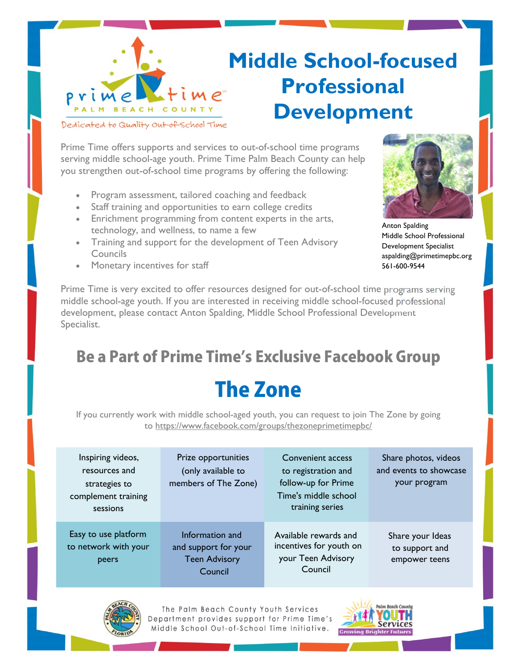

### **Middle School-focused Professional Development**

Prime Time offers supports and services to out-of-school time programs serving middle school-age youth. Prime Time Palm Beach County can help you strengthen out-of-school time programs by offering the following:

- Program assessment, tailored coaching and feedback
- Staff training and opportunities to earn college credits
- Enrichment programming from content experts in the arts, technology, and wellness, to name a few
- Training and support for the development of Teen Advisory Councils



Anton Spalding Middle School Professional Development Specialist aspalding@primetimepbc.org 561-600-9544

Monetary incentives for staff

Prime Time is very excited to offer resources designed for out-of-school time programs serving middle school-age youth. If you are interested in receiving middle school-focused professional development, please contact Anton Spalding, Middle School Professional Development Specialist.

# Be a Part of Prime Time's Exclusive Facebook Group

### The Zone

If you currently work with middle school-aged youth, you can request to join The Zone by going to https://www.facebook.com/groups/thezoneprimetimepbc/

| Inspiring videos,<br>resources and<br>strategies to<br>complement training<br>sessions | Prize opportunities<br>(only available to<br>members of The Zone)          | Convenient access<br>to registration and<br>follow-up for Prime<br>Time's middle school<br>training series | Share photos, videos<br>and events to showcase<br>your program |
|----------------------------------------------------------------------------------------|----------------------------------------------------------------------------|------------------------------------------------------------------------------------------------------------|----------------------------------------------------------------|
| Easy to use platform<br>to network with your<br>peers                                  | Information and<br>and support for your<br><b>Teen Advisory</b><br>Council | Available rewards and<br>incentives for youth on<br>your Teen Advisory<br>Council                          | Share your Ideas<br>to support and<br>empower teens            |



The Palm Beach County Youth Services Department provides support for Prime Time's Middle School Out-of-School Time Initiative.